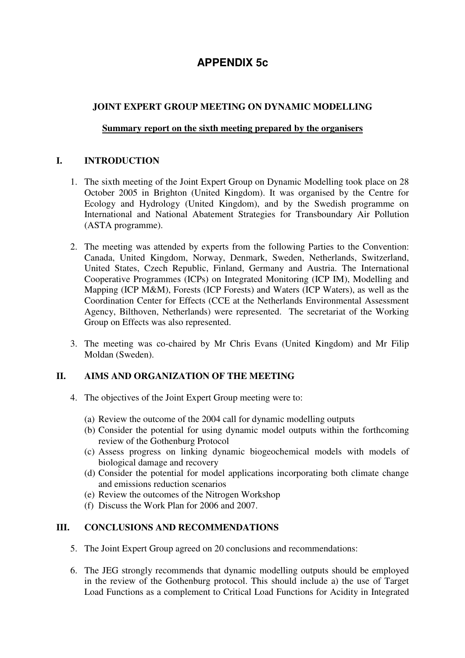# **APPENDIX 5c**

# **JOINT EXPERT GROUP MEETING ON DYNAMIC MODELLING**

#### **Summary report on the sixth meeting prepared by the organisers**

### **I. INTRODUCTION**

- 1. The sixth meeting of the Joint Expert Group on Dynamic Modelling took place on 28 October 2005 in Brighton (United Kingdom). It was organised by the Centre for Ecology and Hydrology (United Kingdom), and by the Swedish programme on International and National Abatement Strategies for Transboundary Air Pollution (ASTA programme).
- 2. The meeting was attended by experts from the following Parties to the Convention: Canada, United Kingdom, Norway, Denmark, Sweden, Netherlands, Switzerland, United States, Czech Republic, Finland, Germany and Austria. The International Cooperative Programmes (ICPs) on Integrated Monitoring (ICP IM), Modelling and Mapping (ICP M&M), Forests (ICP Forests) and Waters (ICP Waters), as well as the Coordination Center for Effects (CCE at the Netherlands Environmental Assessment Agency, Bilthoven, Netherlands) were represented. The secretariat of the Working Group on Effects was also represented.
- 3. The meeting was co-chaired by Mr Chris Evans (United Kingdom) and Mr Filip Moldan (Sweden).

#### **II. AIMS AND ORGANIZATION OF THE MEETING**

- 4. The objectives of the Joint Expert Group meeting were to:
	- (a) Review the outcome of the 2004 call for dynamic modelling outputs
	- (b) Consider the potential for using dynamic model outputs within the forthcoming review of the Gothenburg Protocol
	- (c) Assess progress on linking dynamic biogeochemical models with models of biological damage and recovery
	- (d) Consider the potential for model applications incorporating both climate change and emissions reduction scenarios
	- (e) Review the outcomes of the Nitrogen Workshop
	- (f) Discuss the Work Plan for 2006 and 2007.

## **III. CONCLUSIONS AND RECOMMENDATIONS**

- 5. The Joint Expert Group agreed on 20 conclusions and recommendations:
- 6. The JEG strongly recommends that dynamic modelling outputs should be employed in the review of the Gothenburg protocol. This should include a) the use of Target Load Functions as a complement to Critical Load Functions for Acidity in Integrated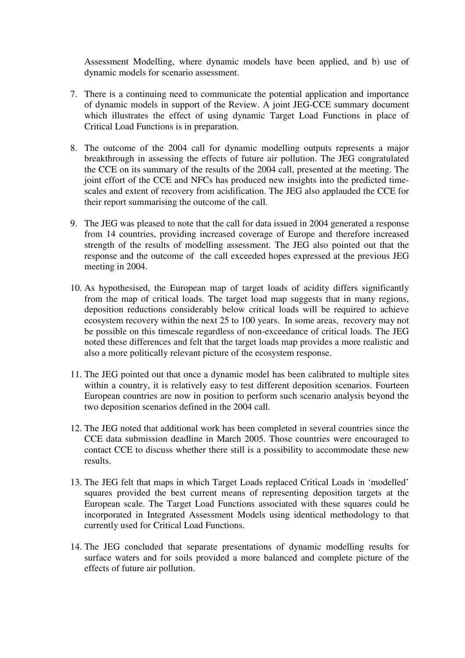Assessment Modelling, where dynamic models have been applied, and b) use of dynamic models for scenario assessment.

- 7. There is a continuing need to communicate the potential application and importance of dynamic models in support of the Review. A joint JEG-CCE summary document which illustrates the effect of using dynamic Target Load Functions in place of Critical Load Functions is in preparation.
- 8. The outcome of the 2004 call for dynamic modelling outputs represents a major breakthrough in assessing the effects of future air pollution. The JEG congratulated the CCE on its summary of the results of the 2004 call, presented at the meeting. The joint effort of the CCE and NFCs has produced new insights into the predicted timescales and extent of recovery from acidification. The JEG also applauded the CCE for their report summarising the outcome of the call.
- 9. The JEG was pleased to note that the call for data issued in 2004 generated a response from 14 countries, providing increased coverage of Europe and therefore increased strength of the results of modelling assessment. The JEG also pointed out that the response and the outcome of the call exceeded hopes expressed at the previous JEG meeting in 2004.
- 10. As hypothesised, the European map of target loads of acidity differs significantly from the map of critical loads. The target load map suggests that in many regions, deposition reductions considerably below critical loads will be required to achieve ecosystem recovery within the next 25 to 100 years. In some areas, recovery may not be possible on this timescale regardless of non-exceedance of critical loads. The JEG noted these differences and felt that the target loads map provides a more realistic and also a more politically relevant picture of the ecosystem response.
- 11. The JEG pointed out that once a dynamic model has been calibrated to multiple sites within a country, it is relatively easy to test different deposition scenarios. Fourteen European countries are now in position to perform such scenario analysis beyond the two deposition scenarios defined in the 2004 call.
- 12. The JEG noted that additional work has been completed in several countries since the CCE data submission deadline in March 2005. Those countries were encouraged to contact CCE to discuss whether there still is a possibility to accommodate these new results.
- 13. The JEG felt that maps in which Target Loads replaced Critical Loads in 'modelled' squares provided the best current means of representing deposition targets at the European scale. The Target Load Functions associated with these squares could be incorporated in Integrated Assessment Models using identical methodology to that currently used for Critical Load Functions.
- 14. The JEG concluded that separate presentations of dynamic modelling results for surface waters and for soils provided a more balanced and complete picture of the effects of future air pollution.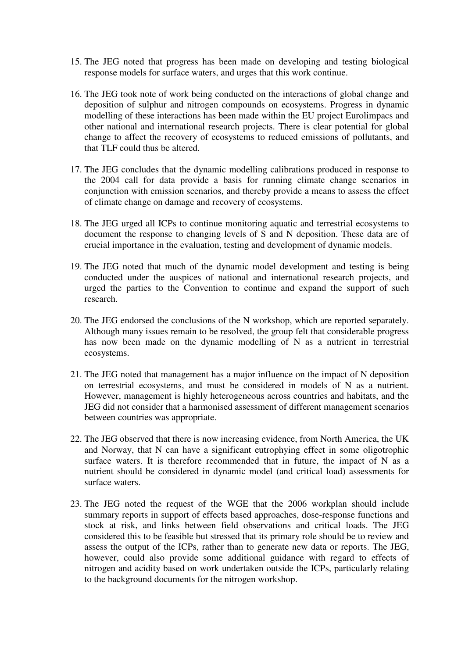- 15. The JEG noted that progress has been made on developing and testing biological response models for surface waters, and urges that this work continue.
- 16. The JEG took note of work being conducted on the interactions of global change and deposition of sulphur and nitrogen compounds on ecosystems. Progress in dynamic modelling of these interactions has been made within the EU project Eurolimpacs and other national and international research projects. There is clear potential for global change to affect the recovery of ecosystems to reduced emissions of pollutants, and that TLF could thus be altered.
- 17. The JEG concludes that the dynamic modelling calibrations produced in response to the 2004 call for data provide a basis for running climate change scenarios in conjunction with emission scenarios, and thereby provide a means to assess the effect of climate change on damage and recovery of ecosystems.
- 18. The JEG urged all ICPs to continue monitoring aquatic and terrestrial ecosystems to document the response to changing levels of S and N deposition. These data are of crucial importance in the evaluation, testing and development of dynamic models.
- 19. The JEG noted that much of the dynamic model development and testing is being conducted under the auspices of national and international research projects, and urged the parties to the Convention to continue and expand the support of such research.
- 20. The JEG endorsed the conclusions of the N workshop, which are reported separately. Although many issues remain to be resolved, the group felt that considerable progress has now been made on the dynamic modelling of N as a nutrient in terrestrial ecosystems.
- 21. The JEG noted that management has a major influence on the impact of N deposition on terrestrial ecosystems, and must be considered in models of N as a nutrient. However, management is highly heterogeneous across countries and habitats, and the JEG did not consider that a harmonised assessment of different management scenarios between countries was appropriate.
- 22. The JEG observed that there is now increasing evidence, from North America, the UK and Norway, that N can have a significant eutrophying effect in some oligotrophic surface waters. It is therefore recommended that in future, the impact of N as a nutrient should be considered in dynamic model (and critical load) assessments for surface waters.
- 23. The JEG noted the request of the WGE that the 2006 workplan should include summary reports in support of effects based approaches, dose-response functions and stock at risk, and links between field observations and critical loads. The JEG considered this to be feasible but stressed that its primary role should be to review and assess the output of the ICPs, rather than to generate new data or reports. The JEG, however, could also provide some additional guidance with regard to effects of nitrogen and acidity based on work undertaken outside the ICPs, particularly relating to the background documents for the nitrogen workshop.